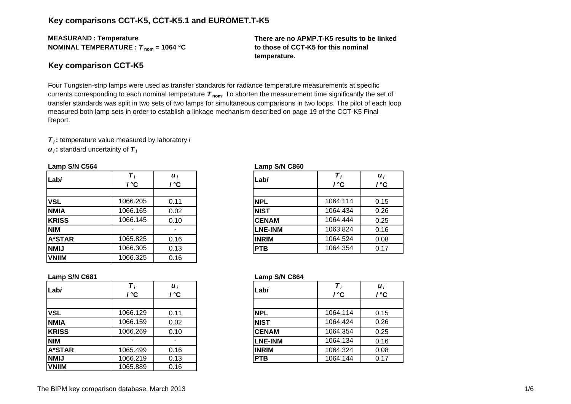## **Key comparisons CCT-K5, CCT-K5.1 and EUROMET.T-K5**

**MEASURAN D : Temperature NOMINAL TEMPERATURE :**  *T* **nom = 1064 °C** **There are no APMP.T-K5 results to be linked to those of CCT-K5 for this nominal temperature.**

#### **Key comparison CCT-K5**

Four Tungsten-strip lamps were used as transfer standards for radiance temperature measurements at specific currents corresponding to each nominal temperature *T* **nom**. To shorten the measurement time significantly the set of transfer standards was split in two sets of two lamps for simultaneous comparisons in two loops. The pilot of each loop measured both lamp sets in order to establish a linkage mechanism described on page 19 of the CCT-K5 Final Report.

*T i* **:** temperature value measured by laboratory *i*

*u i* **:** standard uncertainty of *T i*

| Labi          | °°       | $\boldsymbol{u}_i$<br>' °C | Labi           | ' °C     | $\boldsymbol{u}_i$<br>/ °C |
|---------------|----------|----------------------------|----------------|----------|----------------------------|
| <b>VSL</b>    | 1066.205 | 0.11                       | <b>NPL</b>     | 1064.114 | 0.15                       |
| <b>NMIA</b>   | 1066.165 | 0.02                       | <b>NIST</b>    | 1064.434 | 0.26                       |
| <b>KRISS</b>  | 1066.145 | 0.10                       | <b>CENAM</b>   | 1064.444 | 0.25                       |
| <b>NIM</b>    |          |                            | <b>LNE-INM</b> | 1063.824 | 0.16                       |
| <b>A*STAR</b> | 1065.825 | 0.16                       | <b>INRIM</b>   | 1064.524 | 0.08                       |
| <b>NMIJ</b>   | 1066.305 | 0.13                       | <b>PTB</b>     | 1064.354 | 0.17                       |
| <b>VNIIM</b>  | 1066.325 | 0.16                       |                |          |                            |

#### **Lamp S/N C564 Lamp S/N C860**

|     | / ℃      | $\boldsymbol{u}_i$<br>' ℃ | Labi           | ' °C     | $\boldsymbol{u}_i$<br>/ °C |
|-----|----------|---------------------------|----------------|----------|----------------------------|
|     |          |                           |                |          |                            |
|     | 1066.205 | 0.11                      | <b>NPL</b>     | 1064.114 | 0.15                       |
| А   | 1066.165 | 0.02                      | <b>NIST</b>    | 1064.434 | 0.26                       |
| SS  | 1066.145 | 0.10                      | <b>CENAM</b>   | 1064.444 | 0.25                       |
|     |          | $\overline{\phantom{a}}$  | <b>LNE-INM</b> | 1063.824 | 0.16                       |
| TAR | 1065.825 | 0.16                      | <b>INRIM</b>   | 1064.524 | 0.08                       |
|     | 1066.305 | 0.13                      | <b>PTB</b>     | 1064.354 | 0.17                       |
|     |          |                           |                |          |                            |

| $\sim$     |          |                                    |                |          |                            |
|------------|----------|------------------------------------|----------------|----------|----------------------------|
|            | ' °C     | $\boldsymbol{u}_i$<br>$\mathbf{C}$ | Labi           | / °C     | $\boldsymbol{u}_i$<br>/ °C |
|            |          |                                    |                |          |                            |
|            | 1066.129 | 0.11                               | <b>NPL</b>     | 1064.114 | 0.15                       |
| А          | 1066.159 | 0.02                               | <b>NIST</b>    | 1064.424 | 0.26                       |
| SS         | 1066.269 | 0.10                               | <b>CENAM</b>   | 1064.354 | 0.25                       |
|            |          |                                    | <b>LNE-INM</b> | 1064.134 | 0.16                       |
| <b>TAR</b> | 1065.499 | 0.16                               | <b>INRIM</b>   | 1064.324 | 0.08                       |
|            | 1066.219 | 0.13                               | <b>PTB</b>     | 1064.144 | 0.17                       |
|            |          |                                    |                |          |                            |

#### **Lamp S/N C681 Lamp S/N C864**

| Labi          | $T_{i}$<br>' °C | $\boldsymbol{u}_i$<br>$^{\circ}$ C | Labi           | / °C     | $\boldsymbol{u}_i$<br>/ °C |
|---------------|-----------------|------------------------------------|----------------|----------|----------------------------|
|               |                 |                                    |                |          |                            |
| <b>VSL</b>    | 1066.129        | 0.11                               | <b>NPL</b>     | 1064.114 | 0.15                       |
| <b>NMIA</b>   | 1066.159        | 0.02                               | <b>NIST</b>    | 1064.424 | 0.26                       |
| <b>KRISS</b>  | 1066.269        | 0.10                               | <b>CENAM</b>   | 1064.354 | 0.25                       |
| <b>NIM</b>    |                 |                                    | <b>LNE-INM</b> | 1064.134 | 0.16                       |
| <b>A*STAR</b> | 1065.499        | 0.16                               | <b>INRIM</b>   | 1064.324 | 0.08                       |
| <b>NMIJ</b>   | 1066.219        | 0.13                               | <b>PTB</b>     | 1064.144 | 0.17                       |
| <b>VNIIM</b>  | 1065.889        | 0.16                               |                |          |                            |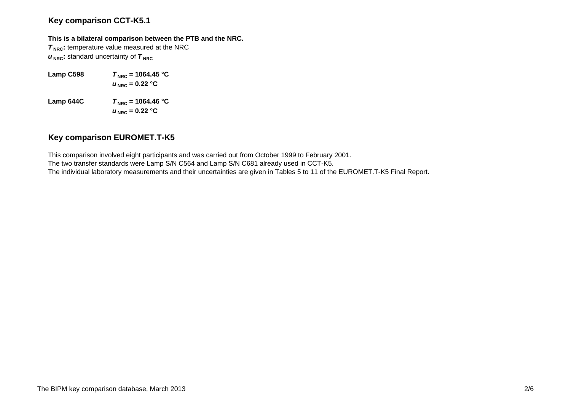## **Key comparison CCT-K5.1**

#### **This is a bilateral comparison between the PTB and the NRC.**

**T<sub>NRC</sub>**: temperature value measured at the NRC  $u_{\text{NRC}}$ : standard uncertainty of  $\tau_{\text{NRC}}$ 

- **Lamp C598**  $T_{\text{NRC}} = 1064.45 \text{ °C}$  $u_{\text{NRC}}$  = 0.22 °C
- **Lamp 644C**  $T_{\text{NRC}} = 1064.46 \text{ °C}$  $u_{\text{ NRC}}$  = 0.22 °C

## **Key comparison EUROMET.T-K5**

This comparison involved eight participants and was carried out from October 1999 to February 2001. The two transfer standards were Lamp S/N C564 and Lamp S/N C681 already used in CCT-K5. The individual laboratory measurements and their uncertainties are given in Tables 5 to 11 of the EUROMET.T-K5 Final Report.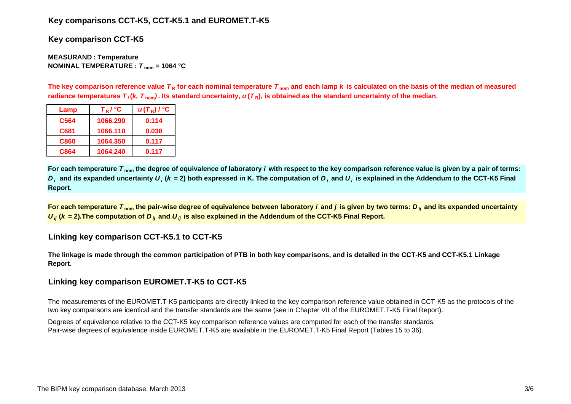## **Key comparisons CCT-K5, CCT-K5.1 and EUROMET.T-K5**

**Key comparison CCT-K5**

**MEASURAN D : Temperature NOMINAL TEMPERATURE :**  *T* **nom = 1064 °C**

The key comparison reference value  $\bm{\tau}_{\mathsf{R}}$  for each nominal temperature  $\bm{\tau}_{\mathsf{nom}}$  and each lamp  $\bm{k}$  is calculated on the basis of the median of measured radiance temperatures  $\bm{\tau}_i$ (*k, T*  $_{\rm nom}$ ). Its standard uncertainty,  $\bm{u}(\bm{\tau}_{{\sf R}})$ , is obtained as the standard uncertainty of the median.

| Lamp             | $T_R$ / $\degree$ C | $u(T_R)$ / $^{\circ}$ C |
|------------------|---------------------|-------------------------|
| C <sub>564</sub> | 1066.290            | 0.114                   |
| C681             | 1066.110            | 0.038                   |
| C860             | 1064.350            | 0.117                   |
| C864             | 1064.240            | 0.117                   |

**For each temperature**  *T* **nom the degree of equivalence of laboratory** *i* **with respect to the key comparison reference value is given by a pair of terms:**   $D_i$  and its expanded uncertainty  $U_i$  (k = 2) both expressed in K. The computation of  $D_i$  and  $U_i$  is explained in the Addendum to the CCT-K5 Final **Report.**

**For each temperature**  *T* **nom the pair-wise degree of equivalence between laboratory** *i* **and** *j* **is given by two terms:***<sup>D</sup> ij* **and its expanded uncertainty**   $U_{ij}$  ( $k$  = 2).The computation of  $D_{ij}$  and  $U_{ij}$  is also explained in the Addendum of the CCT-K5 Final Report.

### **Linking key comparison CCT-K5.1 to CCT-K5**

**The linkage is made through the common participation of PTB in both key comparisons, and is detailed in the CCT-K5 and CCT-K5.1 Linkage Report.**

### **Linking key comparison EUROMET.T-K5 to CCT-K5**

The measurements of the EUROMET.T-K5 participants are directly linked to the key comparison reference value obtained in CCT-K5 as the protocols of the two key comparisons are identical and the transfer standards are the same (see in Chapter VII of the EUROMET.T-K5 Final Report).

Degrees of equivalence relative to the CCT-K5 key comparison reference values are computed for each of the transfer standards. Pair-wise degrees of equivalence inside EUROMET.T-K5 are available in the EUROMET.T-K5 Final Report (Tables 15 to 36).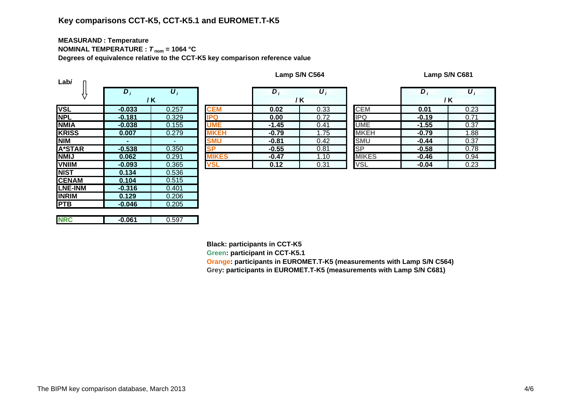## **Key comparisons CCT-K5, CCT-K5.1 and EUROMET.T-K5**

# **MEASURAN D : Temperature**

**NOMINAL TEMPERATURE :**  *T* **nom = 1064 °C**

**Degrees of equivalence relative to the CCT-K5 key comparison reference value**

| Labi           |          |       |            |
|----------------|----------|-------|------------|
|                | $D_i$    | $U_i$ |            |
|                |          | / K   |            |
| <b>VSL</b>     | $-0.033$ | 0.257 | <b>CEM</b> |
| <b>NPL</b>     | $-0.181$ | 0.329 | IPQ        |
| <b>NMIA</b>    | $-0.038$ | 0.155 |            |
| <b>KRISS</b>   | 0.007    | 0.279 | KEH        |
| <b>NIM</b>     |          |       | SMU        |
| <b>A*STAR</b>  | $-0.538$ | 0.350 | <b>SP</b>  |
| <b>NMIJ</b>    | 0.062    | 0.291 | KES        |
| <b>VNIIM</b>   | $-0.093$ | 0.365 | VSL        |
| <b>NIST</b>    | 0.134    | 0.536 |            |
| <b>CENAM</b>   | 0.104    | 0.515 |            |
| <b>LNE-INM</b> | $-0.316$ | 0.401 |            |
| <b>INRIM</b>   | 0.129    | 0.206 |            |
| <b>PTB</b>     | $-0.046$ | 0.205 |            |
|                |          |       |            |
| <b>NRC</b>     | $-0.061$ | 0.597 |            |

|          | $D_i$    | $\boldsymbol{U}_i$ |              | $\bm{D}$ | $\boldsymbol{U}_i$ |              | D       | $\boldsymbol{U}_i$ |
|----------|----------|--------------------|--------------|----------|--------------------|--------------|---------|--------------------|
|          | / K      |                    |              |          | / K                |              |         | / K                |
|          | $-0.033$ | 0.257              | <b>CEM</b>   | 0.02     | 0.33               | <b>CEM</b>   | 0.01    | 0.23               |
|          | $-0.181$ | 0.329              | <b>IPQ</b>   | 0.00     | 0.72               | <b>IPQ</b>   | $-0.19$ | 0.71               |
| <u>А</u> | $-0.038$ | 0.155              | <b>UME</b>   | $-1.45$  | 0.41               | <b>UME</b>   | $-1.55$ | 0.37               |
| SS       | 0.007    | 0.279              | <b>MKEH</b>  | $-0.79$  | 1.75               | <b>MKEH</b>  | $-0.79$ | 1.88               |
|          | ۰.       | $\sim$             | <b>SMU</b>   | $-0.81$  | 0.42               | <b>SMU</b>   | $-0.44$ | 0.37               |
| TAR      | $-0.538$ | 0.350              | <b>SP</b>    | $-0.55$  | 0.81               | <b>SP</b>    | $-0.58$ | 0.78               |
|          | 0.062    | 0.291              | <b>MIKES</b> | $-0.47$  | 1.10               | <b>MIKES</b> | $-0.46$ | 0.94               |
| M        | $-0.093$ | 0.365              | <b>VSI</b>   | 0.12     | 0.31               | <b>VSL</b>   | $-0.04$ | 0.23               |

|   | $D_i$   | $\boldsymbol{U}_i$ |              | $\bm{D}_i$ | $\boldsymbol{U}_i$ |  |  |
|---|---------|--------------------|--------------|------------|--------------------|--|--|
|   |         | / K                |              | / K        |                    |  |  |
|   | 0.02    | 0.33               | <b>CEM</b>   | 0.01       | 0.23               |  |  |
|   | 0.00    | 0.72               | IPQ          | $-0.19$    | 0.71               |  |  |
|   | $-1.45$ | 0.41               | <b>UME</b>   | $-1.55$    | 0.37               |  |  |
|   | $-0.79$ | 1.75               | <b>MKEH</b>  | $-0.79$    | 1.88               |  |  |
|   | $-0.81$ | 0.42               | <b>SMU</b>   | $-0.44$    | 0.37               |  |  |
|   | $-0.55$ | 0.81               | <b>SP</b>    | $-0.58$    | 0.78               |  |  |
| S | $-0.47$ | 1.10               | <b>MIKES</b> | $-0.46$    | 0.94               |  |  |
|   | 0.12    | 0.31               | VSL          | $-0.04$    | 0.23               |  |  |

**Black: participants in CCT-K5**

**Green: participant in CCT-K5.1**

**Orange: participants in EUROMET.T-K5 (measurements with Lamp S/N C564) Gre y: partici pants in EUROMET.T-K5 (measurements with Lam p S/N C681)**

**Lamp S/N C564 Lamp S/N C681**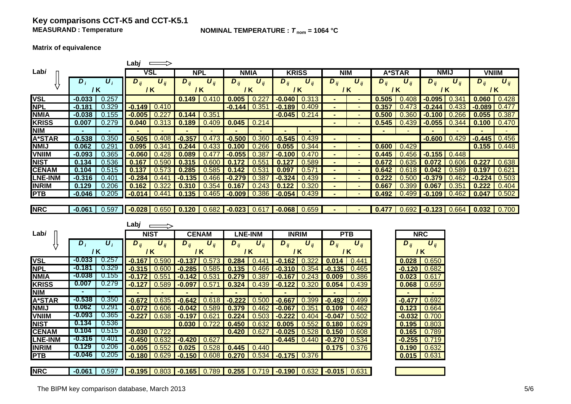### **Key comparisons CCT-K5 and CCT-K5.1 MEASURAND**

**NOMINAL TEMPERATURE :**  $T_{\text{nom}} = 1064 \text{ °C}$ 

#### **Matrix of equivalence**

|                |                |                    | Labj         | $\implies$            |          |                       |                     |                                                            |                  |              |                       |                       |                                              |          |                                                          |                |                       |                |
|----------------|----------------|--------------------|--------------|-----------------------|----------|-----------------------|---------------------|------------------------------------------------------------|------------------|--------------|-----------------------|-----------------------|----------------------------------------------|----------|----------------------------------------------------------|----------------|-----------------------|----------------|
| Labi           |                |                    |              | <b>VSL</b>            |          | <b>NPL</b>            |                     | <b>NMIA</b>                                                | <b>KRISS</b>     |              | <b>NIM</b>            |                       | A*STAR                                       |          |                                                          | <b>NMIJ</b>    | <b>VNIIM</b>          |                |
|                | $D_i$          | $\boldsymbol{U}_i$ | $D_{ij}$     | $\boldsymbol{U}_{ij}$ | $D_{ii}$ | $\boldsymbol{U}_{ii}$ | $\overline{D}_{ij}$ | $\boldsymbol{U}_{ii}$<br>$D_{ij}$<br>$\boldsymbol{U}_{ij}$ |                  | $D_{ij}$     | $\boldsymbol{U}_{ij}$ |                       | $\overline{D}_{ij}$<br>$\boldsymbol{U}_{ij}$ |          | $D_{ii}$<br>$\boldsymbol{U}_{ii}$<br>$\overline{D}_{ij}$ |                | $\boldsymbol{U}_{ii}$ |                |
|                |                | / K                |              | /K                    | $/$ K    |                       |                     | $\sqrt{K}$                                                 |                  | / K          |                       | / K                   |                                              | $/$ K    | / K                                                      |                | / K                   |                |
| <b>VSL</b>     | $-0.033$       | 0.257              |              |                       |          | $0.149$ 0.410         | 0.005               | 0.227                                                      | $-0.040$ $0.313$ |              |                       |                       | 0.505                                        | 0.408    | $-0.095$ 0.341                                           |                |                       | $0.060$ 0.428  |
| <b>NPL</b>     | $-0.181$       | 0.329              |              | $-0.149$ 0.410        |          |                       | $-0.144$            | 0.351                                                      | $-0.189$ $0.409$ |              |                       |                       | 0.357                                        | 0.473    | $-0.244$                                                 | 0.433          |                       | $-0.089$ 0.477 |
| <b>NMIA</b>    | $-0.038$       | 0.155              | $-0.005$     | 0.227                 | 0.144    | 0.351                 |                     |                                                            | $-0.045$ 0.214   |              |                       |                       | 0.500                                        | 0.360    | $-0.100$                                                 | 0.266          |                       | $0.055$ 0.387  |
| <b>KRISS</b>   | 0.007          | 0.279              | 0.040        | 0.313                 | 0.189    | 0.409                 | 0.045               | 0.214                                                      |                  |              | $\blacksquare$        |                       | 0.545                                        | 0.439    |                                                          | $-0.055$ 0.344 | $0.100$ $0.470$       |                |
| <b>NIM</b>     | $\blacksquare$ |                    |              |                       |          |                       |                     |                                                            |                  |              |                       |                       |                                              | $\sim$   |                                                          | $\blacksquare$ | $\blacksquare$        |                |
| <b>A*STAR</b>  | $-0.538$       | 0.350              | $-0.505$     | 0.408                 | $-0.357$ | 0.473                 | $-0.500$            | 0.360                                                      | $-0.545$         | 0.439        | $\blacksquare$        | $\sim$                |                                              |          | $-0.600$                                                 | 0.429          | $-0.445$              | 0.456          |
| <b>NMIJ</b>    | 0.062          | 0.291              | 0.095        | 0.341                 | 0.244    | 0.433                 | 0.100               | 0.266                                                      | 0.055            | 0.344        | $\blacksquare$        | $\sim$                | 0.600                                        | 0.429    |                                                          |                |                       | $0.155$ 0.448  |
| <b>VNIIM</b>   | $-0.093$       | 0.365              | $-0.060$     | 0.428                 | 0.089    | 0.477                 | $-0.055$            | 0.387                                                      | $-0.100$ 0.470   |              | $\blacksquare$        |                       | 0.445                                        | 0.456    |                                                          | $-0.155$ 0.448 |                       |                |
| <b>NIST</b>    | 0.134          | 0.536              | 0.167        | 0.590                 | 0.315    | 0.600                 | 0.172               | 0.551                                                      | 0.127            | 0.589        |                       |                       | 0.672                                        | 0.635    | 0.072                                                    | 0.606          | 0.227                 | 0.638          |
| <b>CENAM</b>   | 0.104          | 0.515              | 0.137        | 0.573                 | 0.285    | 0.585                 | 0.142               | 0.531                                                      | 0.097            | 0.571        | $\blacksquare$        |                       | 0.642                                        | 0.618    | 0.042                                                    | 0.589          | 0.197                 | 0.621          |
| <b>LNE-INM</b> | $-0.316$       | 0.401              | $-0.284$     | 0.441                 | $-0.135$ | 0.466                 | $-0.279$            | 0.387                                                      | $-0.324$         | 0.439        |                       |                       | 0.222                                        | 0.500    | $-0.379$                                                 | 0.462          |                       | $-0.224$ 0.503 |
| <b>INRIM</b>   | 0.129          | 0.206              | 0.162        | 0.322                 | 0.310    | 0.354                 | 0.167               | 0.243                                                      | 0.122            | 0.320        |                       |                       | 0.667                                        | 0.399    | 0.067                                                    | 0.351          |                       | $0.222$ 0.404  |
| <b>PTB</b>     | $-0.046$       | 0.205              | $-0.014$     | 0.441                 | 0.135    | 0.465                 | $-0.009$            | 0.386                                                      | $-0.054$ 0.439   |              |                       |                       | 0.492                                        | 0.499    | $-0.109$                                                 | 0.462          | 0.047                 | 0.502          |
|                |                |                    |              |                       |          |                       |                     |                                                            |                  |              |                       |                       |                                              |          |                                                          |                |                       |                |
| <b>NRC</b>     | $-0.061$       | 0.597              |              | $-0.028$ 0.650        |          | $0.120$ 0.682         | $-0.023$ 0.617      |                                                            | $-0.068$ 0.659   |              | $\blacksquare$        |                       | 0.477                                        | 0.692    |                                                          | $-0.123$ 0.664 |                       | $0.032$ 0.700  |
|                |                |                    |              |                       |          |                       |                     |                                                            |                  |              |                       |                       |                                              |          |                                                          |                |                       |                |
|                |                |                    |              |                       |          |                       |                     |                                                            |                  |              |                       |                       |                                              |          |                                                          |                |                       |                |
|                |                |                    | Lab <i>j</i> |                       |          |                       |                     |                                                            |                  |              |                       |                       |                                              |          |                                                          |                |                       |                |
| Labi           |                |                    |              | <b>NIST</b>           |          | <b>CENAM</b>          |                     | <b>LNE-INM</b>                                             |                  | <b>INRIM</b> |                       | <b>PTB</b>            |                                              |          | <b>NRC</b>                                               |                |                       |                |
|                | $D_i$          | $\boldsymbol{U}_i$ | $D_{ij}$     | $U_{ii}$              | $D_{ii}$ | $U_{ii}$              | $D_{ii}$            | $U_{ii}$                                                   | $D_{ii}$         | $U_{ii}$     | $D_{ii}$              | $\boldsymbol{U}_{ij}$ |                                              | $D_{ij}$ | $U_{ii}$                                                 |                |                       |                |
|                | $/$ K          |                    |              | 1 <sub>K</sub>        |          | $/$ K                 |                     | $/$ K                                                      | / K              |              | $\sqrt{K}$            |                       |                                              |          | /K                                                       |                |                       |                |
| <b>VSL</b>     | $-0.033$       | 0.257              | $-0.167$     | 0.590                 | $-0.137$ | 0.573                 | 0.284               | 0.441                                                      | $-0.162$         | 0.322        | 0.014                 | 0.441                 |                                              |          | $0.028$ 0.650                                            |                |                       |                |
| <b>NPL</b>     | -0.181         | 0.329              | $-0.315$     | 0.600                 | $-0.285$ | 0.585                 | 0.135               | 0.466                                                      | $-0.310$         | 0.354        | $-0.135$              | 0.465                 |                                              |          | $-0.120$ $0.682$                                         |                |                       |                |
| <b>NMIA</b>    | $-0.038$       | 0.155              | $-0.172$     | 0.551                 | $-0.142$ | 0.531                 | 0.279               | 0.387                                                      | $-0.167$         | 0.243        | 0.009                 | 0.386                 |                                              | 0.023    | 0.617                                                    |                |                       |                |
| <b>KRISS</b>   | 0.007          | 0.279              | $-0.127$     | 0.589                 | $-0.097$ | 0.571                 | 0.324               | 0.439                                                      | $-0.122$         | 0.320        | 0.054                 | 0.439                 |                                              | 0.068    | 0.659                                                    |                |                       |                |
| <b>NIM</b>     |                |                    |              |                       |          |                       |                     |                                                            |                  |              |                       |                       |                                              |          |                                                          |                |                       |                |
| <b>A*STAR</b>  | $-0.538$       | 0.350              | $-0.672$     | 0.635                 | $-0.642$ | 0.618                 | $-0.222$            | 0.500                                                      | $-0.667$         | 0.399        | $-0.492$              | 0.499                 |                                              |          | $-0.477$ 0.692                                           |                |                       |                |
| <b>NMIJ</b>    | 0.062          | 0.291              | $-0.072$     | 0.606                 | $-0.042$ | 0.589                 | 0.379               | 0.462                                                      | $-0.067$         | 0.351        | 0.109                 | 0.462                 |                                              |          | $0.123 \mid 0.664$                                       |                |                       |                |
| <b>VNIIM</b>   | $-0.093$       | 0.365              | $-0.227$     | 0.638                 | $-0.197$ | 0.621                 | 0.224               | 0.503                                                      | $-0.222$         | 0.404        | $-0.047$              | 0.502                 |                                              |          | $-0.032$ 0.700                                           |                |                       |                |
| <b>NIST</b>    | 0.134          | 0.536              |              |                       | 0.030    | 0.722                 | 0.450               | 0.632                                                      | 0.005            | 0.552        | 0.180                 | 0.629                 |                                              |          | $0.195$ $0.803$                                          |                |                       |                |
| <b>CENAM</b>   | 0.104          | 0.515              |              | $-0.030$ $0.722$      |          |                       | 0.420               | 0.627                                                      | $-0.025$         | 0.528        | 0.150                 | 0.608                 |                                              |          | $0.165$ 0.789                                            |                |                       |                |
| <b>LNE-INM</b> | -0.316         | 0.401              | $-0.450$     | 0.632                 | $-0.420$ | 0.627                 |                     |                                                            | $-0.445$ 0.440   |              | $-0.270$ 0.534        |                       |                                              |          | $-0.255$ 0.719                                           |                |                       |                |
| <b>INRIM</b>   | 0.129          | 0.206              | $-0.005$     | 0.552                 | 0.025    | 0.528                 | 0.445               | 0.440                                                      |                  |              |                       | $0.175$ 0.376         |                                              |          | $0.190$ $0.632$                                          |                |                       |                |
| <b>PTB</b>     | -0.046         | 0.205              | $-0.180$     | 0.629                 | $-0.150$ | 0.608                 | 0.270               | 0.534                                                      | $-0.175$ 0.376   |              |                       |                       |                                              |          | $0.015$ 0.631                                            |                |                       |                |
| <b>NRC</b>     |                |                    |              |                       |          |                       |                     |                                                            |                  |              |                       |                       |                                              |          |                                                          |                |                       |                |